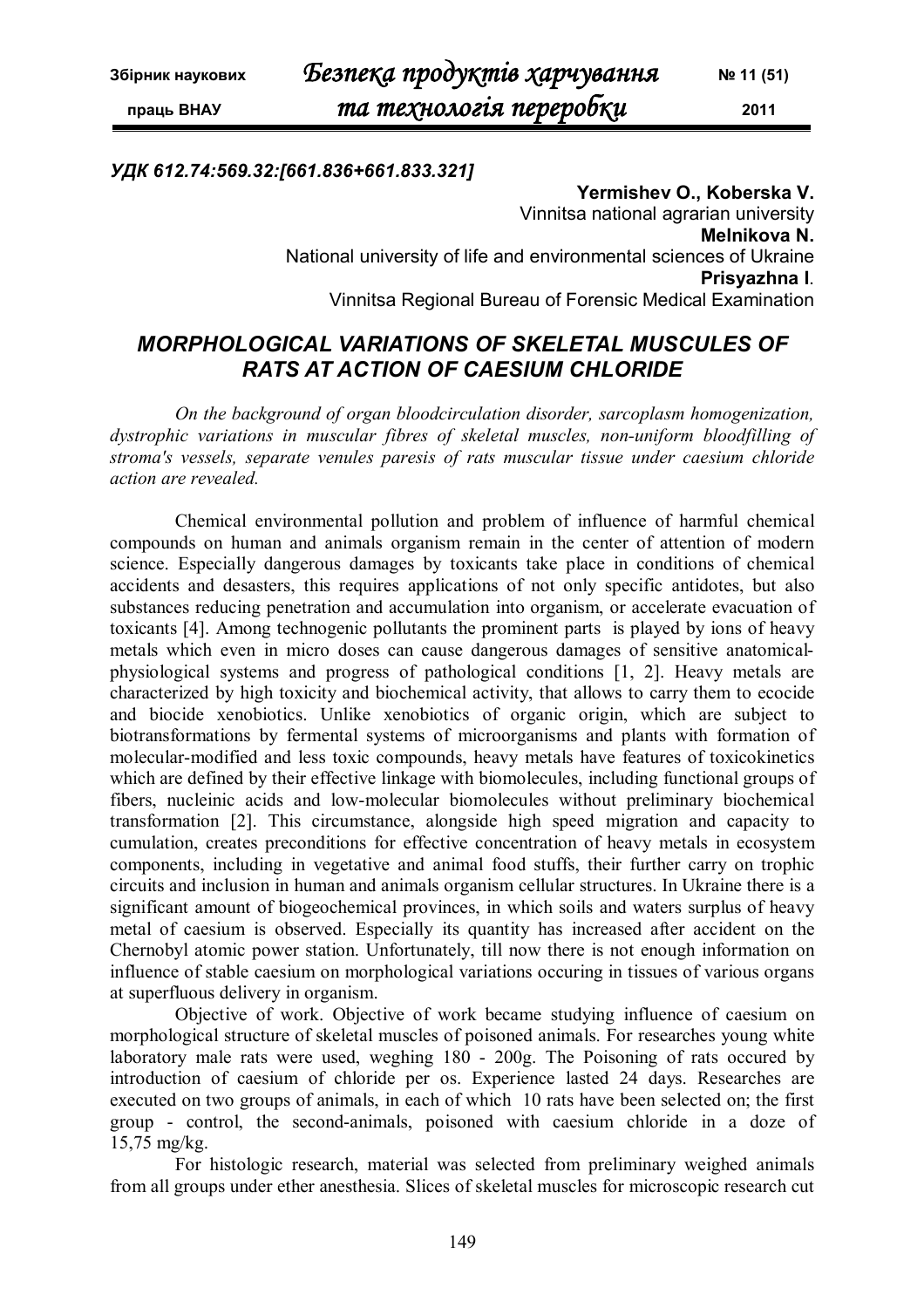### *УДК 612.74:569.32:[661.836+661.833.321]*

**Yermishev O., Koberska V.** Vinnitsa national agrarian university **Melnikova N.** National university of life and environmental sciences of Ukraine **Prisyazhna I**. Vinnitsa Regional Bureau of Forensic Medical Examination

# *MORPHOLOGICAL VARIATIONS OF SKELETAL MUSCULES OF RATS AT ACTION OF CAESIUM CHLORIDE*

*On the background of organ bloodcirculation disorder, sarcoplasm homogenization, dystrophic variations in muscular fibres of skeletal muscles, non-uniform bloodfilling of stroma's vessels, separate venules paresis of rats muscular tissue under caesium chloride action are revealed.*

Chemical environmental pollution and problem of influence of harmful chemical compounds on human and animals organism remain in the center of attention of modern science. Especially dangerous damages by toxicants take place in conditions of chemical accidents and desasters, this requires applications of not only specific antidotes, but also substances reducing penetration and accumulation into organism, or accelerate evacuation of toxicants [4]. Among technogenic pollutants the prominent parts is played by ions of heavy metals which even in micro doses can cause dangerous damages of sensitive anatomicalphysiological systems and progress of pathological conditions [1, 2]. Heavy metals are characterized by high toxicity and biochemical activity, that allows to carry them to ecocide and biocide xenobiotics. Unlike xenobiotics of organic origin, which are subject to biotransformations by fermental systems of microorganisms and plants with formation of molecular-modified and less toxic compounds, heavy metals have features of toxicokinetics which are defined by their effective linkage with biomolecules, including functional groups of fibers, nucleinic acids and low-molecular biomolecules without preliminary biochemical transformation [2]. This circumstance, alongside high speed migration and capacity to cumulation, creates preconditions for effective concentration of heavy metals in ecosystem components, including in vegetative and animal food stuffs, their further carry on trophic circuits and inclusion in human and animals organism cellular structures. In Ukraine there is a significant amount of biogeochemical provinces, in which soils and waters surplus of heavy metal of caesium is observed. Especially its quantity has increased after accident on the Chernobyl atomic power station. Unfortunately, till now there is not enough information on influence of stable caesium on morphological variations occuring in tissues of various organs at superfluous delivery in organism.

Objective of work. Objective of work became studying influence of caesium on morphological structure of skeletal muscles of poisoned animals. For researches young white laboratory male rats were used, weghing 180 - 200g. The Poisoning of rats occured by introduction of caesium of chloride per os. Experience lasted 24 days. Researches are executed on two groups of animals, in each of which 10 rats have been selected on; the first group - control, the second-animals, poisoned with caesium chloride in a doze of 15,75 mg/kg.

For histologic research, material was selected from preliminary weighed animals from all groups under ether anesthesia. Slices of skeletal muscles for microscopic research cut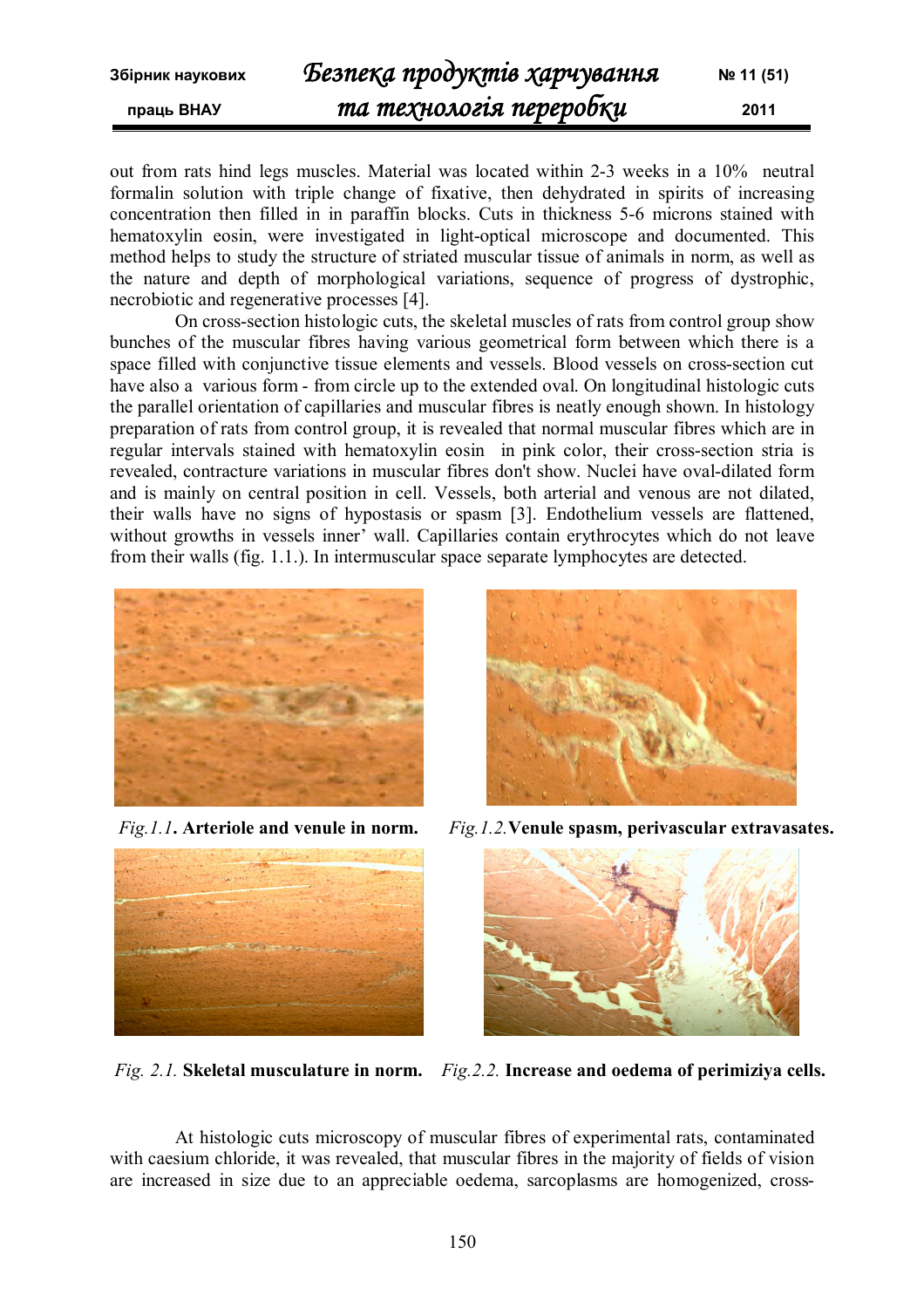out from rats hind legs muscles. Material was located within 2-3 weeks in a 10% neutral formalin solution with triple change of fixative, then dehydrated in spirits of increasing concentration then filled in in paraffin blocks. Cuts in thickness 5-6 microns stained with hematoxylin eosin, were investigated in light-optical microscope and documented. This method helps to study the structure of striated muscular tissue of animals in norm, as well as the nature and depth of morphological variations, sequence of progress of dystrophic, necrobiotic and regenerative processes [4].

On cross-section histologic cuts, the skeletal muscles of rats from control group show bunches of the muscular fibres having various geometrical form between which there is a space filled with conjunctive tissue elements and vessels. Blood vessels on cross-section cut have also a various form - from circle up to the extended oval. On longitudinal histologic cuts the parallel orientation of capillaries and muscular fibres is neatly enough shown. In histology preparation of rats from control group, it is revealed that normal muscular fibres which are in regular intervals stained with hematoxylin eosin in pink color, their cross-section stria is revealed, contracture variations in muscular fibres don't show. Nuclei have oval-dilated form and is mainly on central position in cell. Vessels, both arterial and venous are not dilated, their walls have no signs of hypostasis or spasm [3]. Endothelium vessels are flattened, without growths in vessels inner' wall. Capillaries contain erythrocytes which do not leave from their walls (fig. 1.1.). In intermuscular space separate lymphocytes are detected.







*Fig.1.1***. Arteriole and venule in norm.** *Fig.1.2.***Venule spasm, perivascular extravasates.**



*Fig. 2.1.* **Skeletal musculature in norm.** *Fig.2.2.* **Increase and oedema of perimiziya cells.**

At histologic cuts microscopy of muscular fibres of experimental rats, contaminated with caesium chloride, it was revealed, that muscular fibres in the majority of fields of vision are increased in size due to an appreciable oedema, sarcoplasms are homogenized, cross-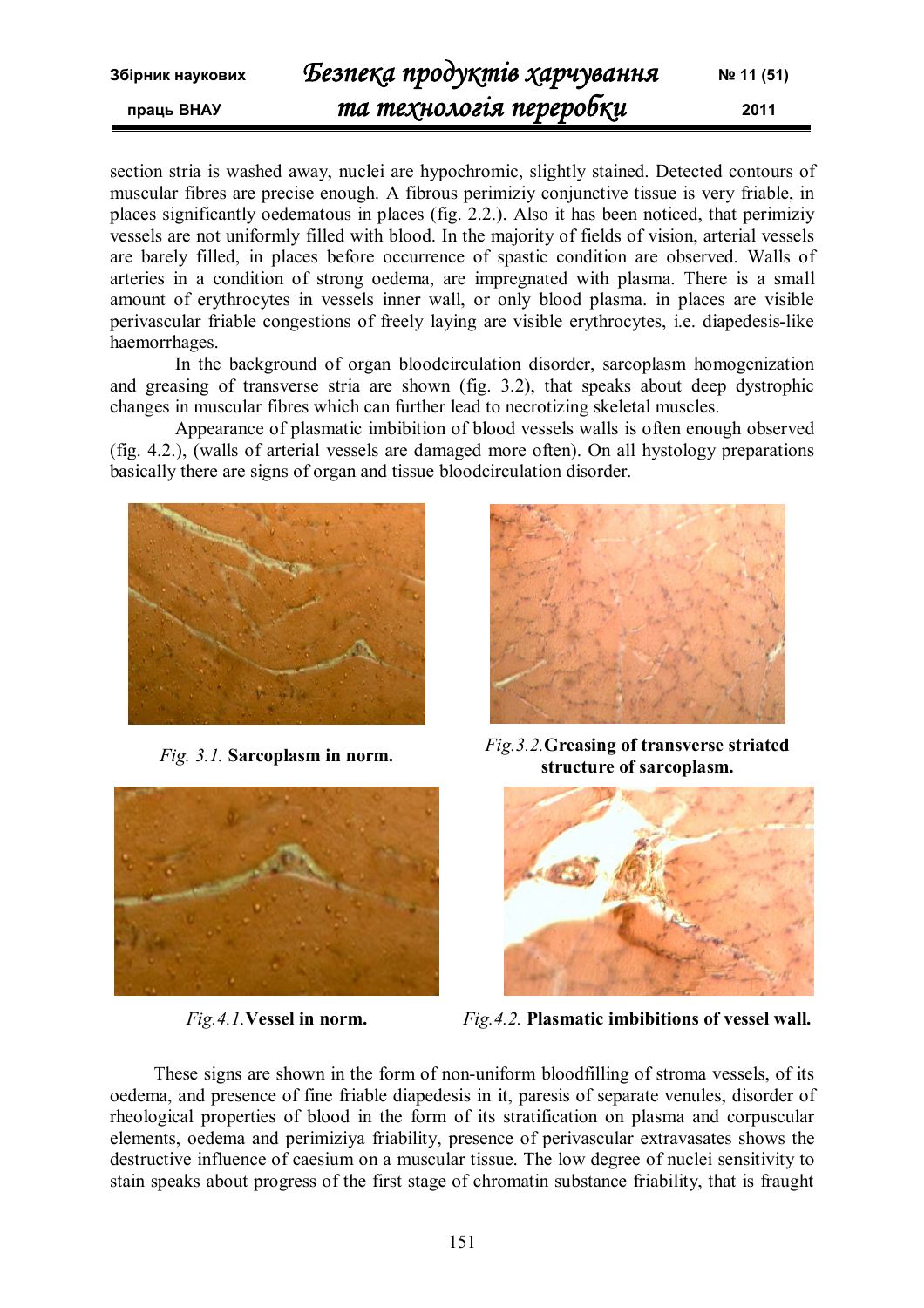section stria is washed away, nuclei are hypochromic, slightly stained. Detected contours of muscular fibres are precise enough. A fibrous perimiziy conjunctive tissue is very friable, in places significantly oedematous in places (fig. 2.2.). Also it has been noticed, that perimiziy vessels are not uniformly filled with blood. In the majority of fields of vision, arterial vessels are barely filled, in places before occurrence of spastic condition are observed. Walls of arteries in a condition of strong oedema, are impregnated with plasma. There is a small amount of erythrocytes in vessels inner wall, or only blood plasma. in places are visible perivascular friable congestions of freely laying are visible erythrocytes, i.e. diapedesis-like haemorrhages.

In the background of organ bloodcirculation disorder, sarcoplasm homogenization and greasing of transverse stria are shown (fig. 3.2), that speaks about deep dystrophic changes in muscular fibres which can further lead to necrotizing skeletal muscles.

Appearance of plasmatic imbibition of blood vessels walls is often enough observed (fig. 4.2.), (walls of arterial vessels are damaged more often). On all hystology preparations basically there are signs of organ and tissue bloodcirculation disorder.



*Fig. 3.1.* **Sarcoplasm in norm.**





*Fig.3.2.***Greasing of transverse striated structure of sarcoplasm.**



*Fig.4.1.***Vessel in norm.** *Fig.4.2.* **Plasmatic imbibitions of vessel wall.**

These signs are shown in the form of non-uniform bloodfilling of stroma vessels, of its oedema, and presence of fine friable diapedesis in it, paresis of separate venules, disorder of rheological properties of blood in the form of its stratification on plasma and corpuscular elements, oedema and perimiziya friability, presence of perivascular extravasates shows the destructive influence of caesium on a muscular tissue. The low degree of nuclei sensitivity to stain speaks about progress of the first stage of chromatin substance friability, that is fraught